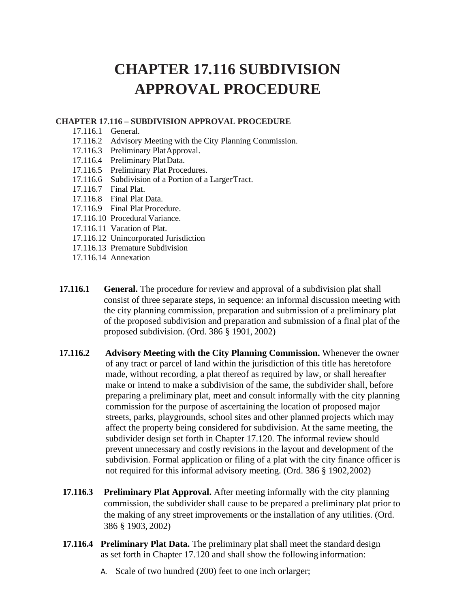# **CHAPTER 17.116 SUBDIVISION APPROVAL PROCEDURE**

#### **CHAPTER 17.116 – SUBDIVISION APPROVAL PROCEDURE**

- 17.116.1 General.
- 17.116.2 Advisory Meeting with the City Planning Commission.
- 17.116.3 Preliminary PlatApproval.
- 17.116.4 Preliminary PlatData.
- 17.116.5 Preliminary Plat Procedures.
- 17.116.6 Subdivision of a Portion of a LargerTract.
- 17.116.7 Final Plat.
- 17.116.8 Final Plat Data.
- 17.116.9 Final Plat Procedure.
- 17.116.10 Procedural Variance.
- 17.116.11 Vacation of Plat.
- 17.116.12 Unincorporated Jurisdiction
- 17.116.13 Premature Subdivision
- 17.116.14 Annexation
- **17.116.1 General.** The procedure for review and approval of a subdivision plat shall consist of three separate steps, in sequence: an informal discussion meeting with the city planning commission, preparation and submission of a preliminary plat of the proposed subdivision and preparation and submission of a final plat of the proposed subdivision. (Ord. 386 § 1901, 2002)
- **17.116.2 Advisory Meeting with the City Planning Commission.** Whenever the owner of any tract or parcel of land within the jurisdiction of this title has heretofore made, without recording, a plat thereof as required by law, or shall hereafter make or intend to make a subdivision of the same, the subdivider shall, before preparing a preliminary plat, meet and consult informally with the city planning commission for the purpose of ascertaining the location of proposed major streets, parks, playgrounds, school sites and other planned projects which may affect the property being considered for subdivision. At the same meeting, the subdivider design set forth in Chapter 17.120. The informal review should prevent unnecessary and costly revisions in the layout and development of the subdivision. Formal application or filing of a plat with the city finance officer is not required for this informal advisory meeting. (Ord. 386 § 1902,2002)
- **17.116.3 Preliminary Plat Approval.** After meeting informally with the city planning commission, the subdivider shall cause to be prepared a preliminary plat prior to the making of any street improvements or the installation of any utilities. (Ord. 386 § 1903, 2002)
- **17.116.4 Preliminary Plat Data.** The preliminary plat shall meet the standard design as set forth in Chapter 17.120 and shall show the following information:
	- A. Scale of two hundred (200) feet to one inch orlarger;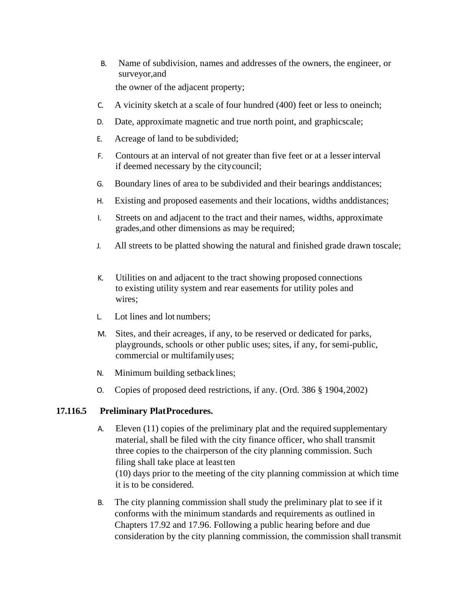- B. Name of subdivision, names and addresses of the owners, the engineer, or surveyor,and the owner of the adjacent property;
- C. A vicinity sketch at a scale of four hundred (400) feet or less to oneinch;
- D. Date, approximate magnetic and true north point, and graphicscale;
- E. Acreage of land to be subdivided;
- F. Contours at an interval of not greater than five feet or at a lesser interval if deemed necessary by the citycouncil;
- G. Boundary lines of area to be subdivided and their bearings anddistances;
- H. Existing and proposed easements and their locations, widths anddistances;
- I. Streets on and adjacent to the tract and their names, widths, approximate grades,and other dimensions as may be required;
- J. All streets to be platted showing the natural and finished grade drawn toscale;
- K. Utilities on and adjacent to the tract showing proposed connections to existing utility system and rear easements for utility poles and wires;
- L. Lot lines and lot numbers;
- M. Sites, and their acreages, if any, to be reserved or dedicated for parks, playgrounds, schools or other public uses; sites, if any, forsemi-public, commercial or multifamilyuses;
- N. Minimum building setback lines;
- O. Copies of proposed deed restrictions, if any. (Ord. 386 § 1904,2002)

## **17.116.5 Preliminary PlatProcedures.**

- A. Eleven (11) copies of the preliminary plat and the required supplementary material, shall be filed with the city finance officer, who shall transmit three copies to the chairperson of the city planning commission. Such filing shall take place at leastten (10) days prior to the meeting of the city planning commission at which time it is to be considered.
- B. The city planning commission shall study the preliminary plat to see if it conforms with the minimum standards and requirements as outlined in Chapters 17.92 and 17.96. Following a public hearing before and due consideration by the city planning commission, the commission shall transmit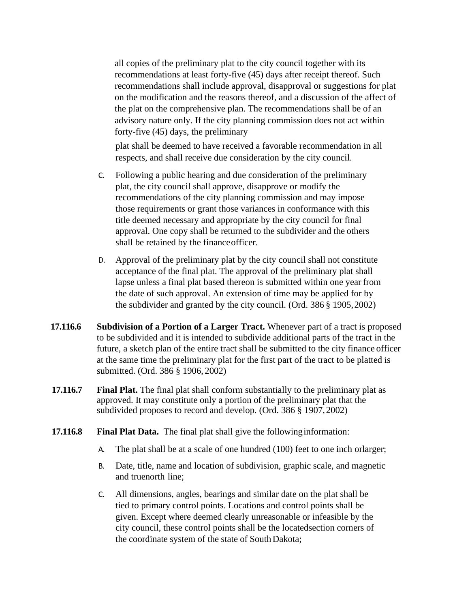all copies of the preliminary plat to the city council together with its recommendations at least forty-five (45) days after receipt thereof. Such recommendations shall include approval, disapproval or suggestions for plat on the modification and the reasons thereof, and a discussion of the affect of the plat on the comprehensive plan. The recommendations shall be of an advisory nature only. If the city planning commission does not act within forty-five (45) days, the preliminary

plat shall be deemed to have received a favorable recommendation in all respects, and shall receive due consideration by the city council.

- C. Following a public hearing and due consideration of the preliminary plat, the city council shall approve, disapprove or modify the recommendations of the city planning commission and may impose those requirements or grant those variances in conformance with this title deemed necessary and appropriate by the city council for final approval. One copy shall be returned to the subdivider and the others shall be retained by the financeofficer.
- D. Approval of the preliminary plat by the city council shall not constitute acceptance of the final plat. The approval of the preliminary plat shall lapse unless a final plat based thereon is submitted within one year from the date of such approval. An extension of time may be applied for by the subdivider and granted by the city council. (Ord. 386 § 1905,2002)
- **17.116.6 Subdivision of a Portion of a Larger Tract.** Whenever part of a tract is proposed to be subdivided and it is intended to subdivide additional parts of the tract in the future, a sketch plan of the entire tract shall be submitted to the city finance officer at the same time the preliminary plat for the first part of the tract to be platted is submitted. (Ord. 386 § 1906, 2002)
- **17.116.7 Final Plat.** The final plat shall conform substantially to the preliminary plat as approved. It may constitute only a portion of the preliminary plat that the subdivided proposes to record and develop. (Ord. 386 § 1907,2002)
- **17.116.8 Final Plat Data.** The final plat shall give the followinginformation:
	- A. The plat shall be at a scale of one hundred (100) feet to one inch orlarger;
	- B. Date, title, name and location of subdivision, graphic scale, and magnetic and truenorth line;
	- C. All dimensions, angles, bearings and similar date on the plat shall be tied to primary control points. Locations and control points shall be given. Except where deemed clearly unreasonable or infeasible by the city council, these control points shall be the locatedsection corners of the coordinate system of the state of South Dakota;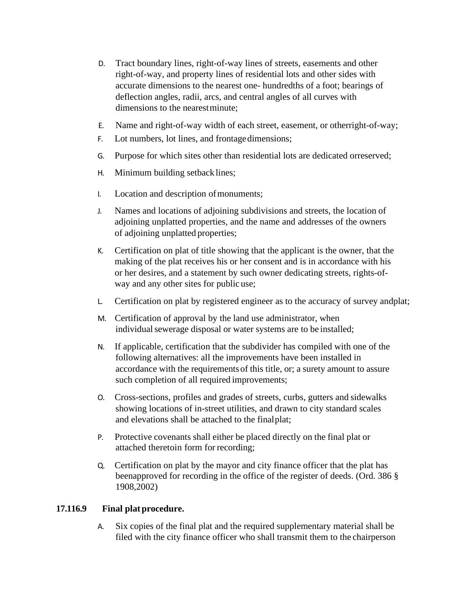- D. Tract boundary lines, right-of-way lines of streets, easements and other right-of-way, and property lines of residential lots and other sides with accurate dimensions to the nearest one- hundredths of a foot; bearings of deflection angles, radii, arcs, and central angles of all curves with dimensions to the nearestminute;
- E. Name and right-of-way width of each street, easement, or otherright-of-way;
- F. Lot numbers, lot lines, and frontagedimensions;
- G. Purpose for which sites other than residential lots are dedicated orreserved;
- H. Minimum building setback lines;
- I. Location and description ofmonuments;
- J. Names and locations of adjoining subdivisions and streets, the location of adjoining unplatted properties, and the name and addresses of the owners of adjoining unplatted properties;
- K. Certification on plat of title showing that the applicant is the owner, that the making of the plat receives his or her consent and is in accordance with his or her desires, and a statement by such owner dedicating streets, rights-ofway and any other sites for public use;
- L. Certification on plat by registered engineer as to the accuracy of survey andplat;
- M. Certification of approval by the land use administrator, when individual sewerage disposal or water systems are to be installed;
- N. If applicable, certification that the subdivider has compiled with one of the following alternatives: all the improvements have been installed in accordance with the requirementsof this title, or; a surety amount to assure such completion of all required improvements;
- O. Cross-sections, profiles and grades of streets, curbs, gutters and sidewalks showing locations of in-street utilities, and drawn to city standard scales and elevations shall be attached to the finalplat;
- P. Protective covenants shall either be placed directly on the final plat or attached theretoin form for recording;
- Q. Certification on plat by the mayor and city finance officer that the plat has beenapproved for recording in the office of the register of deeds. (Ord. 386 § 1908,2002)

## **17.116.9 Final platprocedure.**

A. Six copies of the final plat and the required supplementary material shall be filed with the city finance officer who shall transmit them to the chairperson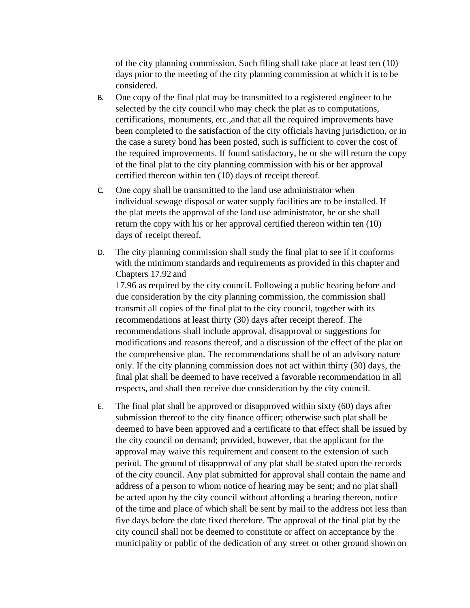of the city planning commission. Such filing shall take place at least ten (10) days prior to the meeting of the city planning commission at which it is to be considered.

- B. One copy of the final plat may be transmitted to a registered engineer to be selected by the city council who may check the plat as to computations, certifications, monuments, etc.,and that all the required improvements have been completed to the satisfaction of the city officials having jurisdiction, or in the case a surety bond has been posted, such is sufficient to cover the cost of the required improvements. If found satisfactory, he or she will return the copy of the final plat to the city planning commission with his or her approval certified thereon within ten (10) days of receipt thereof.
- C. One copy shall be transmitted to the land use administrator when individual sewage disposal or water supply facilities are to be installed. If the plat meets the approval of the land use administrator, he or she shall return the copy with his or her approval certified thereon within ten (10) days of receipt thereof.
- D. The city planning commission shall study the final plat to see if it conforms with the minimum standards and requirements as provided in this chapter and Chapters 17.92 and

17.96 as required by the city council. Following a public hearing before and due consideration by the city planning commission, the commission shall transmit all copies of the final plat to the city council, together with its recommendations at least thirty (30) days after receipt thereof. The recommendations shall include approval, disapproval or suggestions for modifications and reasons thereof, and a discussion of the effect of the plat on the comprehensive plan. The recommendations shall be of an advisory nature only. If the city planning commission does not act within thirty (30) days, the final plat shall be deemed to have received a favorable recommendation in all respects, and shall then receive due consideration by the city council.

E. The final plat shall be approved or disapproved within sixty (60) days after submission thereof to the city finance officer; otherwise such plat shall be deemed to have been approved and a certificate to that effect shall be issued by the city council on demand; provided, however, that the applicant for the approval may waive this requirement and consent to the extension of such period. The ground of disapproval of any plat shall be stated upon the records of the city council. Any plat submitted for approval shall contain the name and address of a person to whom notice of hearing may be sent; and no plat shall be acted upon by the city council without affording a hearing thereon, notice of the time and place of which shall be sent by mail to the address not less than five days before the date fixed therefore. The approval of the final plat by the city council shall not be deemed to constitute or affect on acceptance by the municipality or public of the dedication of any street or other ground shown on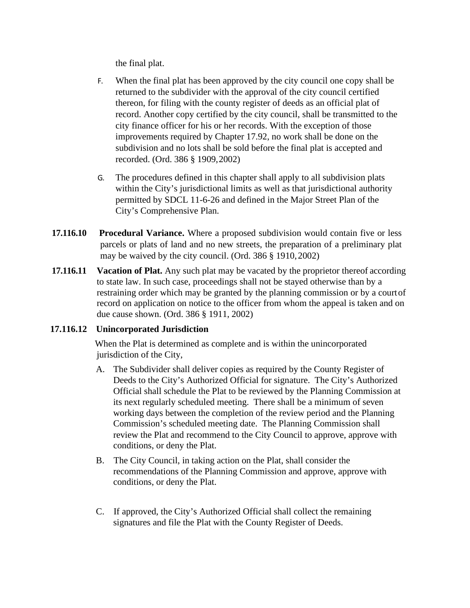the final plat.

- F. When the final plat has been approved by the city council one copy shall be returned to the subdivider with the approval of the city council certified thereon, for filing with the county register of deeds as an official plat of record. Another copy certified by the city council, shall be transmitted to the city finance officer for his or her records. With the exception of those improvements required by Chapter 17.92, no work shall be done on the subdivision and no lots shall be sold before the final plat is accepted and recorded. (Ord. 386 § 1909,2002)
- G. The procedures defined in this chapter shall apply to all subdivision plats within the City's jurisdictional limits as well as that jurisdictional authority permitted by SDCL 11-6-26 and defined in the Major Street Plan of the City's Comprehensive Plan.
- **17.116.10 Procedural Variance.** Where a proposed subdivision would contain five or less parcels or plats of land and no new streets, the preparation of a preliminary plat may be waived by the city council. (Ord. 386 § 1910,2002)
- **17.116.11 Vacation of Plat.** Any such plat may be vacated by the proprietor thereof according to state law. In such case, proceedings shall not be stayed otherwise than by a restraining order which may be granted by the planning commission or by a courtof record on application on notice to the officer from whom the appeal is taken and on due cause shown. (Ord. 386 § 1911, 2002)

# **17.116.12 Unincorporated Jurisdiction**

 When the Plat is determined as complete and is within the unincorporated jurisdiction of the City,

- A. The Subdivider shall deliver copies as required by the County Register of Deeds to the City's Authorized Official for signature. The City's Authorized Official shall schedule the Plat to be reviewed by the Planning Commission at its next regularly scheduled meeting. There shall be a minimum of seven working days between the completion of the review period and the Planning Commission's scheduled meeting date. The Planning Commission shall review the Plat and recommend to the City Council to approve, approve with conditions, or deny the Plat.
- B. The City Council, in taking action on the Plat, shall consider the recommendations of the Planning Commission and approve, approve with conditions, or deny the Plat.
- C. If approved, the City's Authorized Official shall collect the remaining signatures and file the Plat with the County Register of Deeds.